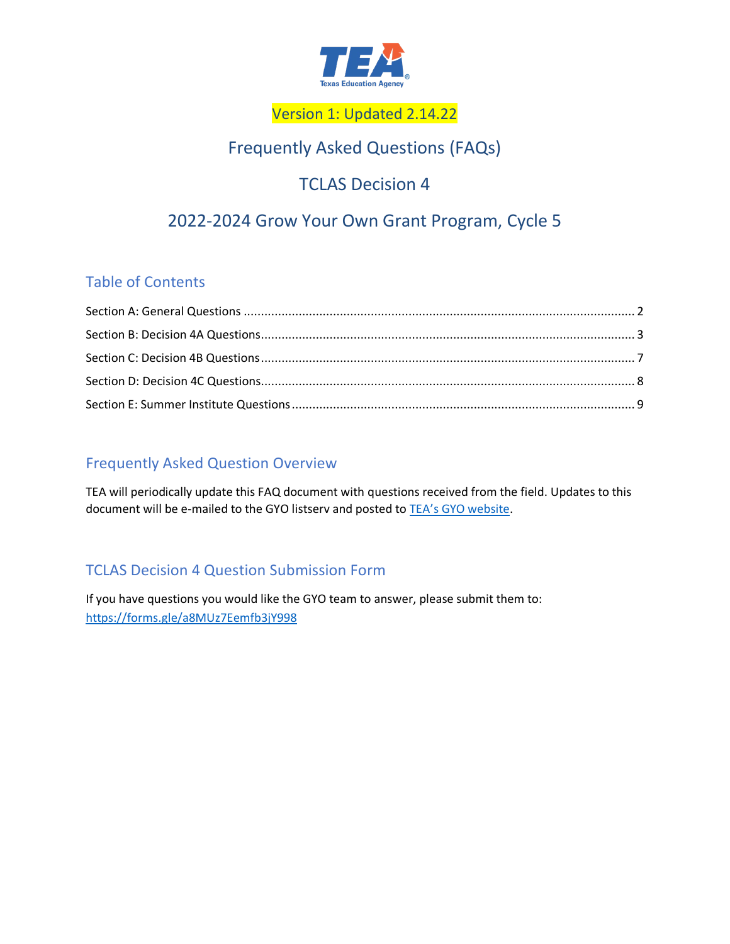

## Version 1: Updated 2.14.22

# Frequently Asked Questions (FAQs)

# TCLAS Decision 4

# 2022-2024 Grow Your Own Grant Program, Cycle 5

### Table of Contents

### Frequently Asked Question Overview

TEA will periodically update this FAQ document with questions received from the field. Updates to this document will be e-mailed to the GYO listserv and posted t[o TEA's GYO website.](https://tea.texas.gov/texas-educators/educator-initiatives-and-performance/grow-your-own)

### TCLAS Decision 4 Question Submission Form

If you have questions you would like the GYO team to answer, please submit them to: <https://forms.gle/a8MUz7Eemfb3jY998>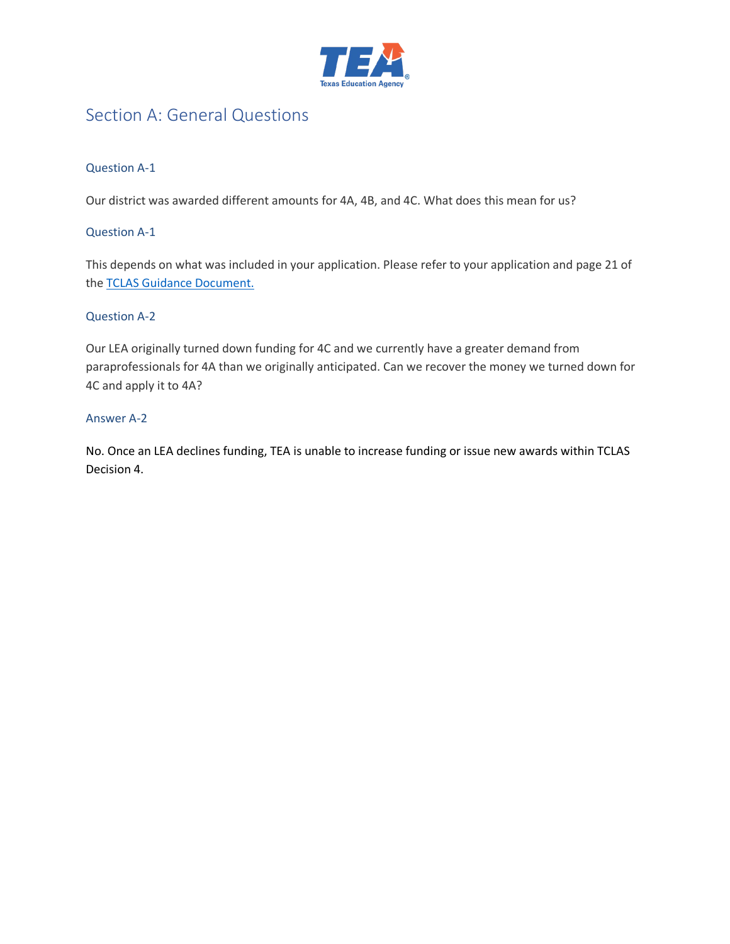

# <span id="page-1-0"></span>Section A: General Questions

#### Question A-1

Our district was awarded different amounts for 4A, 4B, and 4C. What does this mean for us?

#### Question A-1

This depends on what was included in your application. Please refer to your application and page 21 of the [TCLAS Guidance Document.](https://tea.texas.gov/sites/default/files/covid/TCLAS-Guidance-Document.pdf)

#### Question A-2

Our LEA originally turned down funding for 4C and we currently have a greater demand from paraprofessionals for 4A than we originally anticipated. Can we recover the money we turned down for 4C and apply it to 4A?

#### Answer A-2

<span id="page-1-1"></span>No. Once an LEA declines funding, TEA is unable to increase funding or issue new awards within TCLAS Decision 4.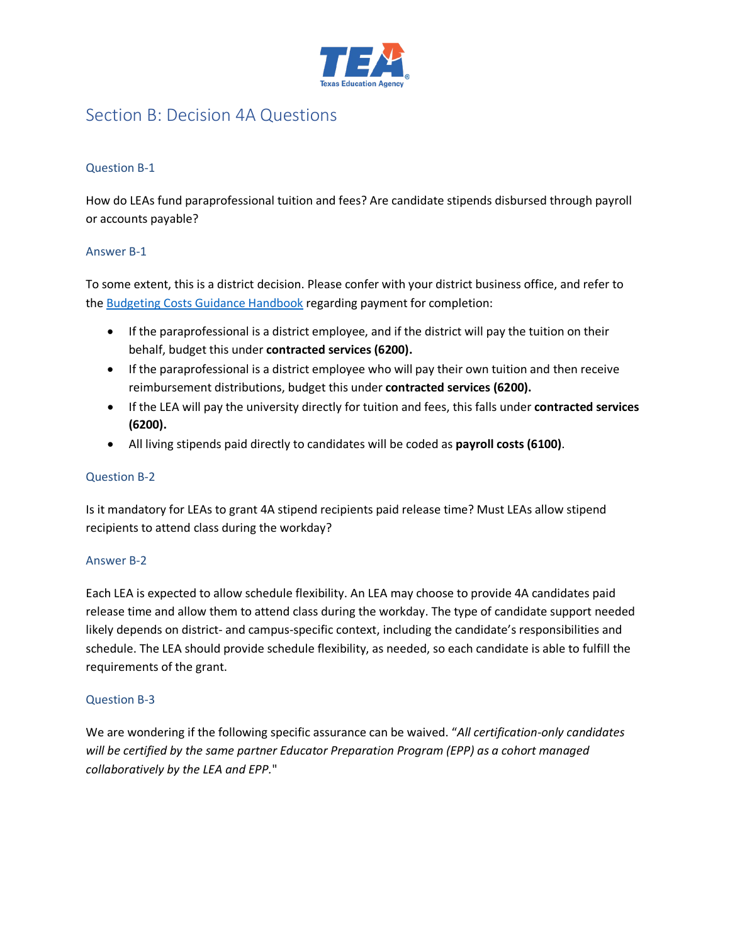

### Section B: Decision 4A Questions

#### Question B-1

How do LEAs fund paraprofessional tuition and fees? Are candidate stipends disbursed through payroll or accounts payable?

#### Answer B-1

To some extent, this is a district decision. Please confer with your district business office, and refer to the [Budgeting Costs Guidance Handbook](https://tea.texas.gov/sites/default/files/budgeting_costs_guidance_handbook.pdf) regarding payment for completion:

- If the paraprofessional is a district employee, and if the district will pay the tuition on their behalf, budget this under **contracted services (6200).**
- If the paraprofessional is a district employee who will pay their own tuition and then receive reimbursement distributions, budget this under **contracted services (6200).**
- If the LEA will pay the university directly for tuition and fees, this falls under **contracted services (6200).**
- All living stipends paid directly to candidates will be coded as **payroll costs (6100)**.

#### Question B-2

Is it mandatory for LEAs to grant 4A stipend recipients paid release time? Must LEAs allow stipend recipients to attend class during the workday?

#### Answer B-2

Each LEA is expected to allow schedule flexibility. An LEA may choose to provide 4A candidates paid release time and allow them to attend class during the workday. The type of candidate support needed likely depends on district- and campus-specific context, including the candidate's responsibilities and schedule. The LEA should provide schedule flexibility, as needed, so each candidate is able to fulfill the requirements of the grant.

#### Question B-3

We are wondering if the following specific assurance can be waived. "*All certification-only candidates will be certified by the same partner Educator Preparation Program (EPP) as a cohort managed collaboratively by the LEA and EPP.*"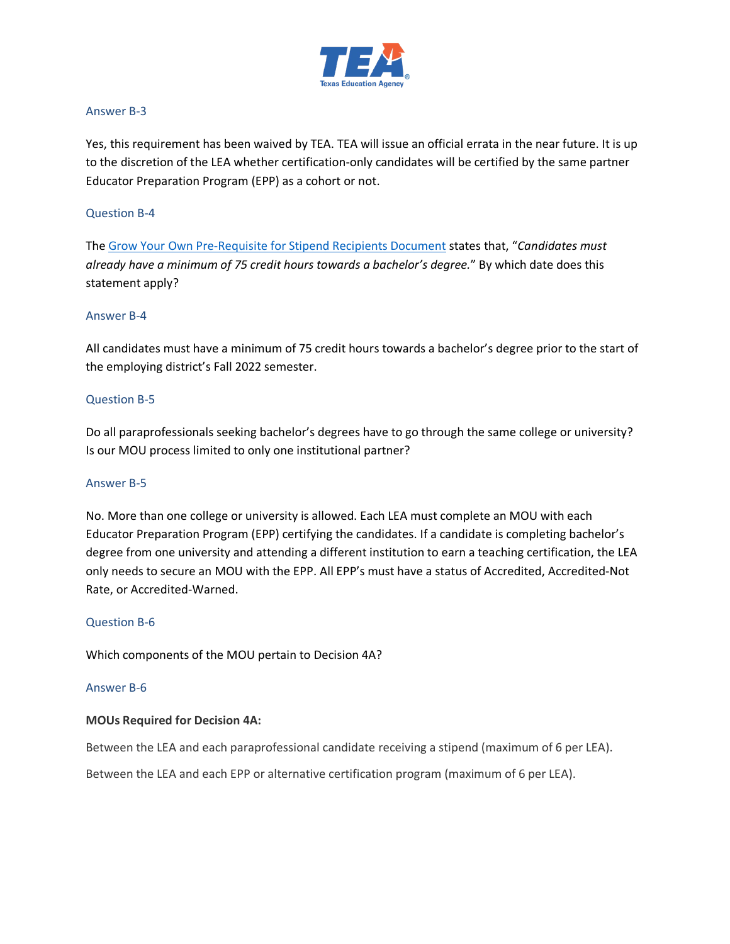

#### Answer B-3

Yes, this requirement has been waived by TEA. TEA will issue an official errata in the near future. It is up to the discretion of the LEA whether certification-only candidates will be certified by the same partner Educator Preparation Program (EPP) as a cohort or not.

#### Question B-4

The [Grow Your Own Pre-Requisite for Stipend Recipients Document](https://tea.texas.gov/sites/default/files/gyo-stipend-recipient-pre-requisites.pdf) states that, "*Candidates must already have a minimum of 75 credit hours towards a bachelor's degree.*" By which date does this statement apply?

#### Answer B-4

All candidates must have a minimum of 75 credit hours towards a bachelor's degree prior to the start of the employing district's Fall 2022 semester.

#### Question B-5

Do all paraprofessionals seeking bachelor's degrees have to go through the same college or university? Is our MOU process limited to only one institutional partner?

#### Answer B-5

No. More than one college or university is allowed. Each LEA must complete an MOU with each Educator Preparation Program (EPP) certifying the candidates. If a candidate is completing bachelor's degree from one university and attending a different institution to earn a teaching certification, the LEA only needs to secure an MOU with the EPP. All EPP's must have a status of Accredited, Accredited-Not Rate, or Accredited-Warned.

#### Question B-6

Which components of the MOU pertain to Decision 4A?

#### Answer B-6

#### **MOUs Required for Decision 4A:**

Between the LEA and each paraprofessional candidate receiving a stipend (maximum of 6 per LEA).

Between the LEA and each EPP or alternative certification program (maximum of 6 per LEA).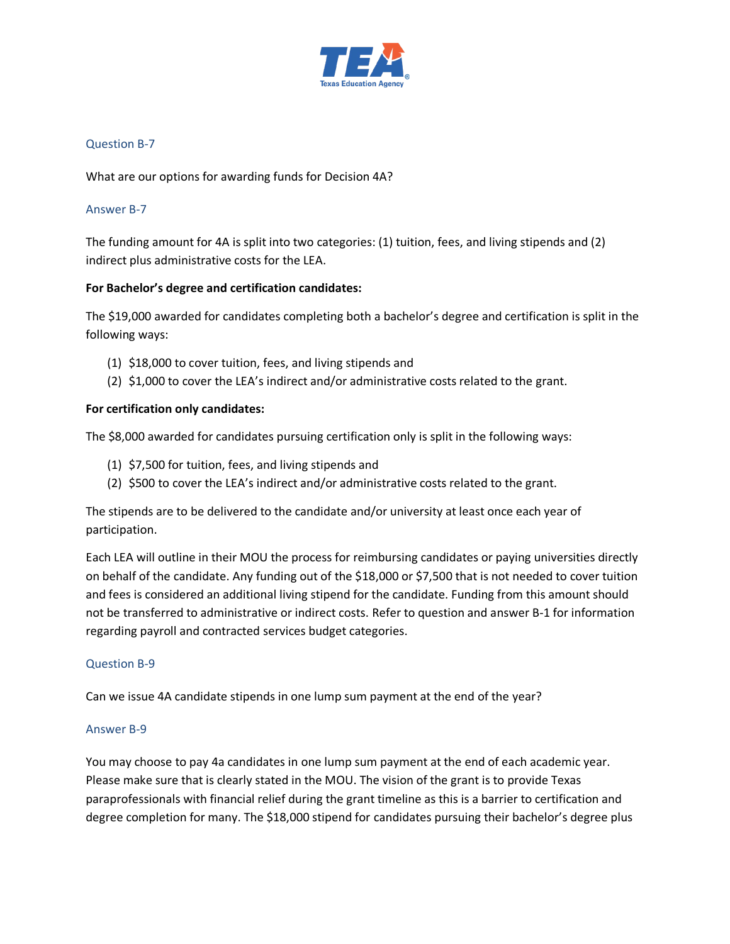

#### Question B-7

What are our options for awarding funds for Decision 4A?

#### Answer B-7

The funding amount for 4A is split into two categories: (1) tuition, fees, and living stipends and (2) indirect plus administrative costs for the LEA.

#### **For Bachelor's degree and certification candidates:**

The \$19,000 awarded for candidates completing both a bachelor's degree and certification is split in the following ways:

- (1) \$18,000 to cover tuition, fees, and living stipends and
- (2) \$1,000 to cover the LEA's indirect and/or administrative costs related to the grant.

#### **For certification only candidates:**

The \$8,000 awarded for candidates pursuing certification only is split in the following ways:

- (1) \$7,500 for tuition, fees, and living stipends and
- (2) \$500 to cover the LEA's indirect and/or administrative costs related to the grant.

The stipends are to be delivered to the candidate and/or university at least once each year of participation.

Each LEA will outline in their MOU the process for reimbursing candidates or paying universities directly on behalf of the candidate. Any funding out of the \$18,000 or \$7,500 that is not needed to cover tuition and fees is considered an additional living stipend for the candidate. Funding from this amount should not be transferred to administrative or indirect costs. Refer to question and answer B-1 for information regarding payroll and contracted services budget categories.

#### Question B-9

Can we issue 4A candidate stipends in one lump sum payment at the end of the year?

#### Answer B-9

You may choose to pay 4a candidates in one lump sum payment at the end of each academic year. Please make sure that is clearly stated in the MOU. The vision of the grant is to provide Texas paraprofessionals with financial relief during the grant timeline as this is a barrier to certification and degree completion for many. The \$18,000 stipend for candidates pursuing their bachelor's degree plus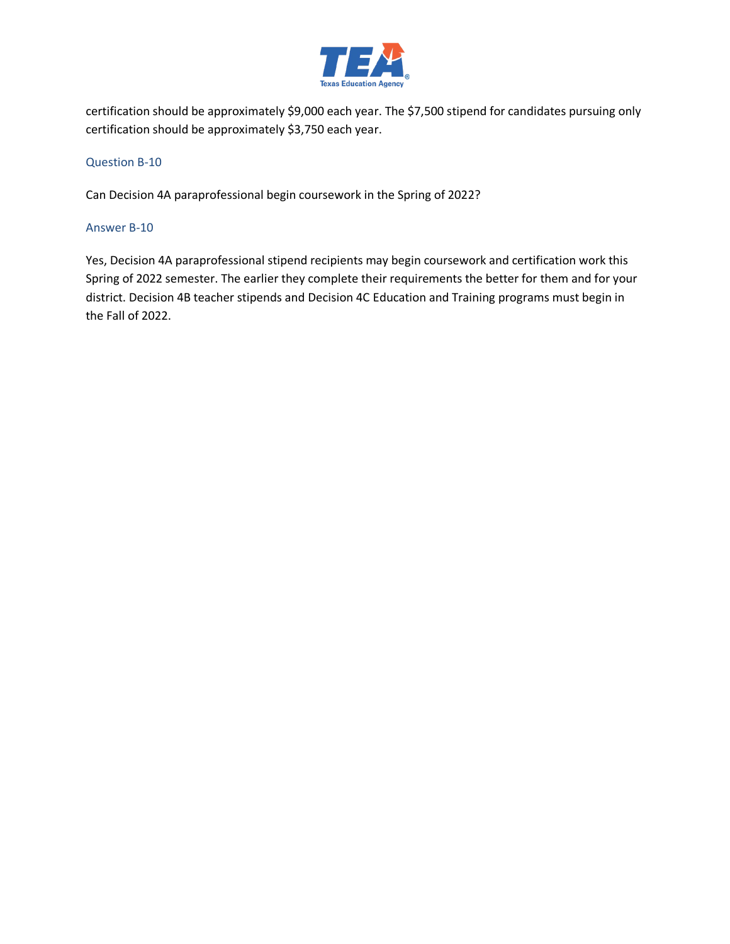

certification should be approximately \$9,000 each year. The \$7,500 stipend for candidates pursuing only certification should be approximately \$3,750 each year.

#### Question B-10

Can Decision 4A paraprofessional begin coursework in the Spring of 2022?

#### Answer B-10

Yes, Decision 4A paraprofessional stipend recipients may begin coursework and certification work this Spring of 2022 semester. The earlier they complete their requirements the better for them and for your district. Decision 4B teacher stipends and Decision 4C Education and Training programs must begin in the Fall of 2022.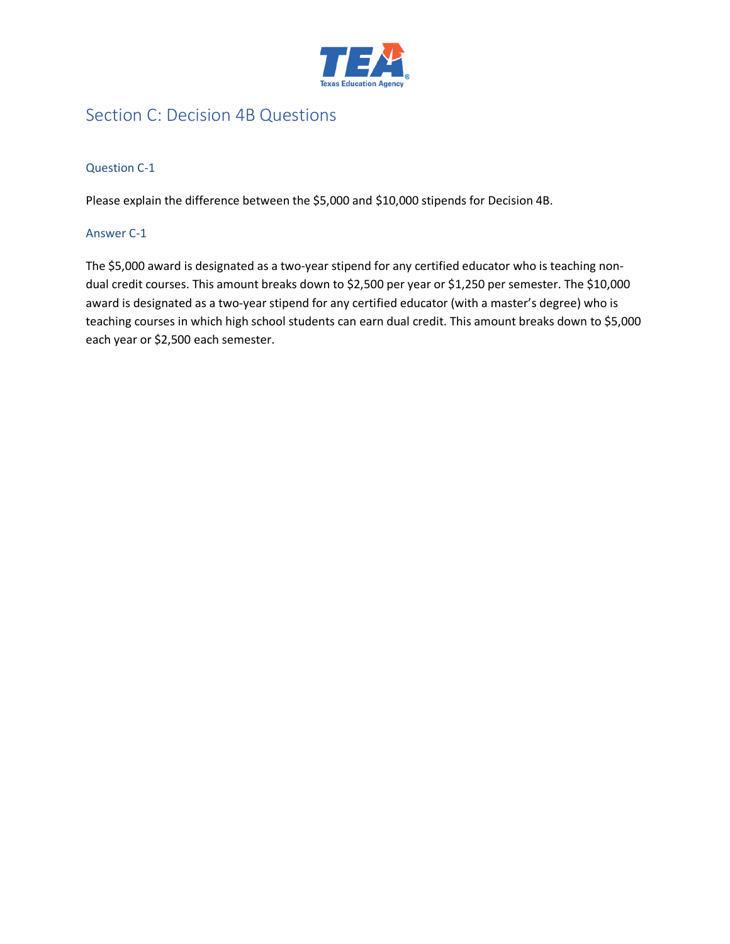

# <span id="page-6-0"></span>Section C: Decision 4B Questions

#### Question C-1

Please explain the difference between the \$5,000 and \$10,000 stipends for Decision 4B.

#### Answer C-1

The \$5,000 award is designated as a two-year stipend for any certified educator who is teaching nondual credit courses. This amount breaks down to \$2,500 per year or \$1,250 per semester. The \$10,000 award is designated as a two-year stipend for any certified educator (with a master's degree) who is teaching courses in which high school students can earn dual credit. This amount breaks down to \$5,000 each year or \$2,500 each semester.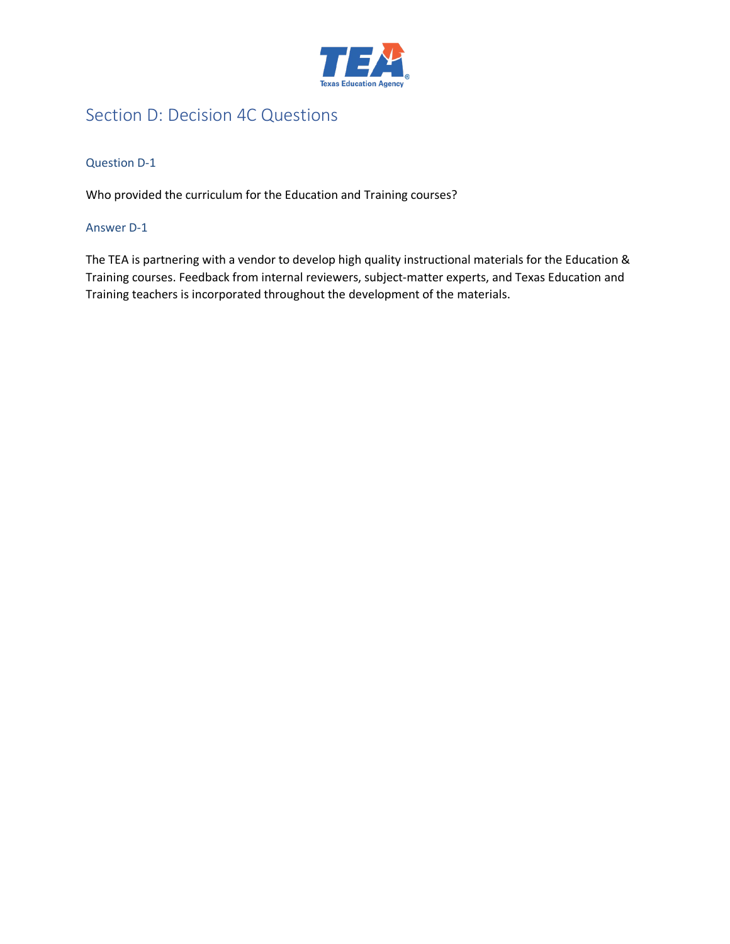

## <span id="page-7-0"></span>Section D: Decision 4C Questions

#### Question D-1

Who provided the curriculum for the Education and Training courses?

#### Answer D-1

The TEA is partnering with a vendor to develop high quality instructional materials for the Education & Training courses. Feedback from internal reviewers, subject-matter experts, and Texas Education and Training teachers is incorporated throughout the development of the materials.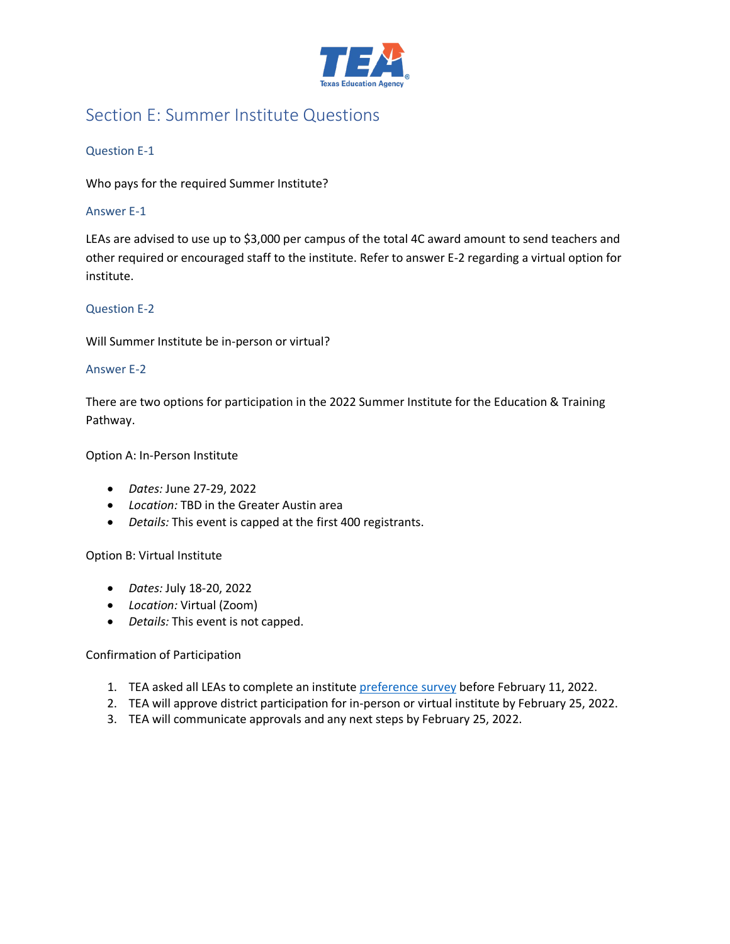

## <span id="page-8-0"></span>Section E: Summer Institute Questions

Question E-1

Who pays for the required Summer Institute?

#### Answer E-1

LEAs are advised to use up to \$3,000 per campus of the total 4C award amount to send teachers and other required or encouraged staff to the institute. Refer to answer E-2 regarding a virtual option for institute.

#### Question E-2

Will Summer Institute be in-person or virtual?

#### Answer E-2

There are two options for participation in the 2022 Summer Institute for the Education & Training Pathway.

Option A: In-Person Institute

- *Dates:* June 27-29, 2022
- *Location:* TBD in the Greater Austin area
- *Details:* This event is capped at the first 400 registrants.

#### Option B: Virtual Institute

- *Dates:* July 18-20, 2022
- *Location:* Virtual (Zoom)
- *Details:* This event is not capped.

#### Confirmation of Participation

- 1. TEA asked all LEAs to complete an institute [preference survey](https://forms.gle/7hwU716Fv2RmkeFg6) before February 11, 2022.
- 2. TEA will approve district participation for in-person or virtual institute by February 25, 2022.
- 3. TEA will communicate approvals and any next steps by February 25, 2022.